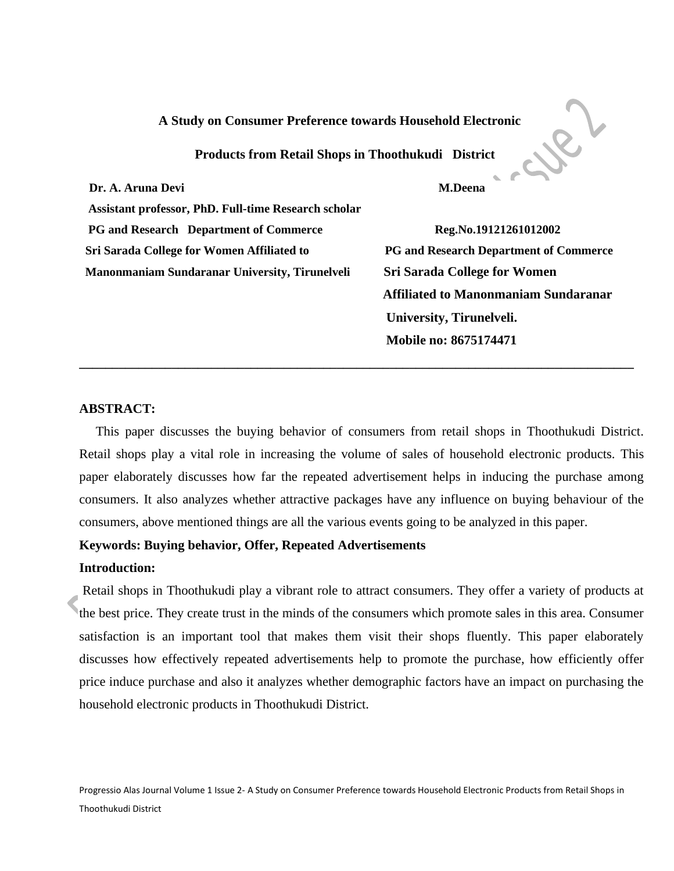### **A Study on Consumer Preference towards Household Electronic**

 **Products from Retail Shops in Thoothukudi District** 

**Dr. A. Aruna Devi** M.Deena **M.Deena** 

 **Assistant professor, PhD. Full-time Research scholar PG and Research Department of Commerce Reg.No.19121261012002 Sri Sarada College for Women Affiliated to PG and Research Department of Commerce Manonmaniam Sundaranar University, Tirunelveli Sri Sarada College for Women** 

 **Affiliated to Manonmaniam Sundaranar University, Tirunelveli. Mobile no: 8675174471**

Ler

### **ABSTRACT:**

 This paper discusses the buying behavior of consumers from retail shops in Thoothukudi District. Retail shops play a vital role in increasing the volume of sales of household electronic products. This paper elaborately discusses how far the repeated advertisement helps in inducing the purchase among consumers. It also analyzes whether attractive packages have any influence on buying behaviour of the consumers, above mentioned things are all the various events going to be analyzed in this paper.

**\_\_\_\_\_\_\_\_\_\_\_\_\_\_\_\_\_\_\_\_\_\_\_\_\_\_\_\_\_\_\_\_\_\_\_\_\_\_\_\_\_\_\_\_\_\_\_\_\_\_\_\_\_\_\_\_\_\_\_\_\_\_\_\_\_\_\_\_\_\_\_\_\_\_\_\_\_\_\_\_\_\_\_\_** 

### **Keywords: Buying behavior, Offer, Repeated Advertisements**

### **Introduction:**

Retail shops in Thoothukudi play a vibrant role to attract consumers. They offer a variety of products at the best price. They create trust in the minds of the consumers which promote sales in this area. Consumer satisfaction is an important tool that makes them visit their shops fluently. This paper elaborately discusses how effectively repeated advertisements help to promote the purchase, how efficiently offer price induce purchase and also it analyzes whether demographic factors have an impact on purchasing the household electronic products in Thoothukudi District.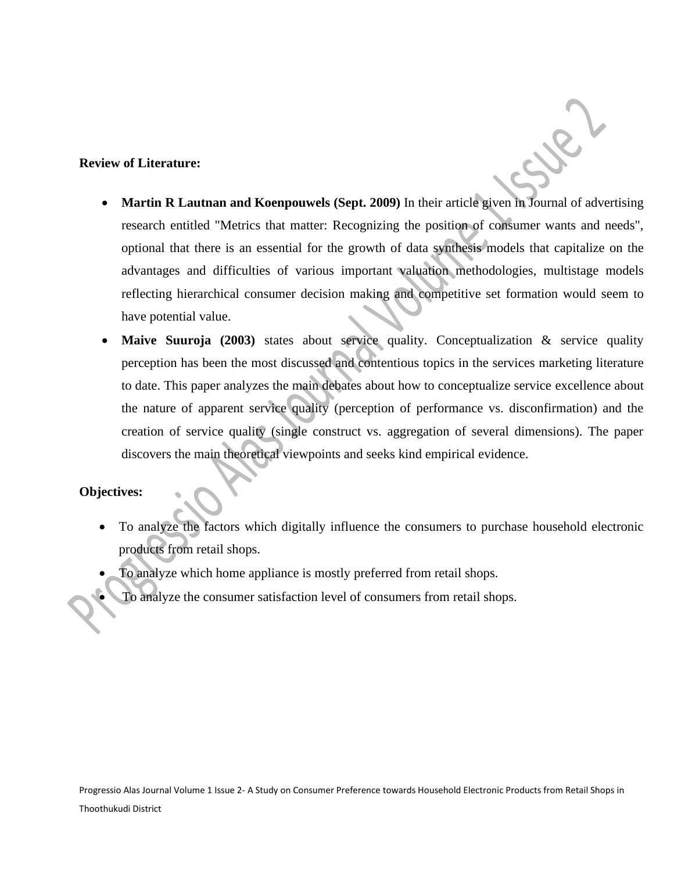# **Review of Literature:**

• **Martin R Lautnan and Koenpouwels (Sept. 2009)** In their article given in Journal of advertising research entitled "Metrics that matter: Recognizing the position of consumer wants and needs", optional that there is an essential for the growth of data synthesis models that capitalize on the advantages and difficulties of various important valuation methodologies, multistage models reflecting hierarchical consumer decision making and competitive set formation would seem to have potential value.

 $\mathscr{L}$ 

• **Maive Suuroja (2003)** states about service quality. Conceptualization & service quality perception has been the most discussed and contentious topics in the services marketing literature to date. This paper analyzes the main debates about how to conceptualize service excellence about the nature of apparent service quality (perception of performance vs. disconfirmation) and the creation of service quality (single construct vs. aggregation of several dimensions). The paper discovers the main theoretical viewpoints and seeks kind empirical evidence.

# **Objectives:**

- To analyze the factors which digitally influence the consumers to purchase household electronic products from retail shops.
- To analyze which home appliance is mostly preferred from retail shops.
	- To analyze the consumer satisfaction level of consumers from retail shops.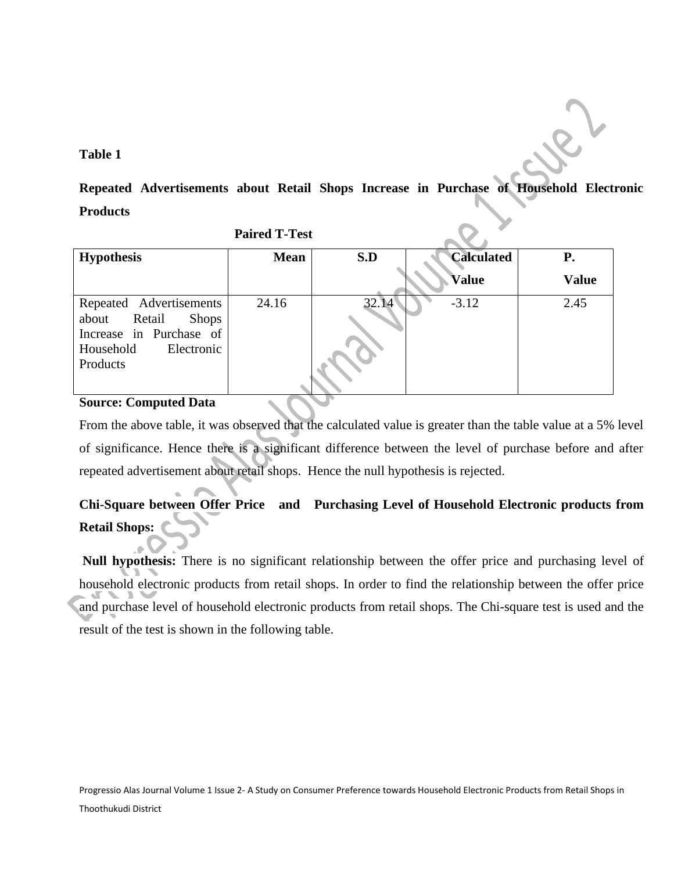## **Table 1**

**Repeated Advertisements about Retail Shops Increase in Purchase of Household Electronic Products**

|                                                                                                                              | $\blacksquare$ and $\blacksquare$ |       |                   |              |
|------------------------------------------------------------------------------------------------------------------------------|-----------------------------------|-------|-------------------|--------------|
| <b>Hypothesis</b>                                                                                                            | <b>Mean</b>                       | S.D   | <b>Calculated</b> | <b>P.</b>    |
|                                                                                                                              |                                   |       | <b>Value</b>      | <b>Value</b> |
| Repeated Advertisements<br>Retail<br><b>Shops</b><br>about<br>Increase in Purchase of<br>Household<br>Electronic<br>Products | 24.16                             | 32.14 | $-3.12$           | 2.45         |

 **Paired T-Test**

# **Source: Computed Data**

From the above table, it was observed that the calculated value is greater than the table value at a 5% level of significance. Hence there is a significant difference between the level of purchase before and after repeated advertisement about retail shops. Hence the null hypothesis is rejected.

# **Chi-Square between Offer Price and Purchasing Level of Household Electronic products from Retail Shops:**

**Null hypothesis:** There is no significant relationship between the offer price and purchasing level of household electronic products from retail shops. In order to find the relationship between the offer price and purchase level of household electronic products from retail shops. The Chi-square test is used and the result of the test is shown in the following table.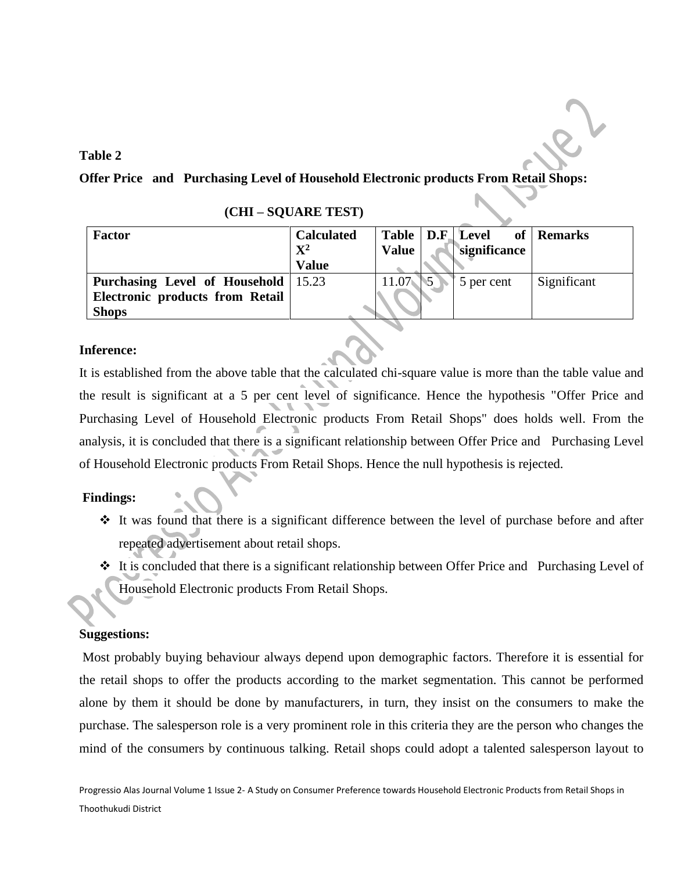# **Table 2**

**Offer Price and Purchasing Level of Household Electronic products From Retail Shops:**

| <b>Factor</b>                                | <b>Calculated</b><br>$\mathbf{X}^2$<br><b>Value</b> | <b>Value</b> | Table   D.F. Level<br>significance | of Remarks  |
|----------------------------------------------|-----------------------------------------------------|--------------|------------------------------------|-------------|
| <b>Purchasing Level of Household</b>   15.23 |                                                     | 11.07        | 5 per cent                         | Significant |
| <b>Electronic products from Retail</b>       |                                                     |              |                                    |             |
| <b>Shops</b>                                 |                                                     |              |                                    |             |

| (CHI-SQUARE TEST) |  |  |  |
|-------------------|--|--|--|
|                   |  |  |  |

## **Inference:**

It is established from the above table that the calculated chi-square value is more than the table value and the result is significant at a 5 per cent level of significance. Hence the hypothesis "Offer Price and Purchasing Level of Household Electronic products From Retail Shops" does holds well. From the analysis, it is concluded that there is a significant relationship between Offer Price and Purchasing Level of Household Electronic products From Retail Shops. Hence the null hypothesis is rejected.

## **Findings:**

- ❖ It was found that there is a significant difference between the level of purchase before and after repeated advertisement about retail shops.
- ❖ It is concluded that there is a significant relationship between Offer Price and Purchasing Level of Household Electronic products From Retail Shops.

## **Suggestions:**

Most probably buying behaviour always depend upon demographic factors. Therefore it is essential for the retail shops to offer the products according to the market segmentation. This cannot be performed alone by them it should be done by manufacturers, in turn, they insist on the consumers to make the purchase. The salesperson role is a very prominent role in this criteria they are the person who changes the mind of the consumers by continuous talking. Retail shops could adopt a talented salesperson layout to